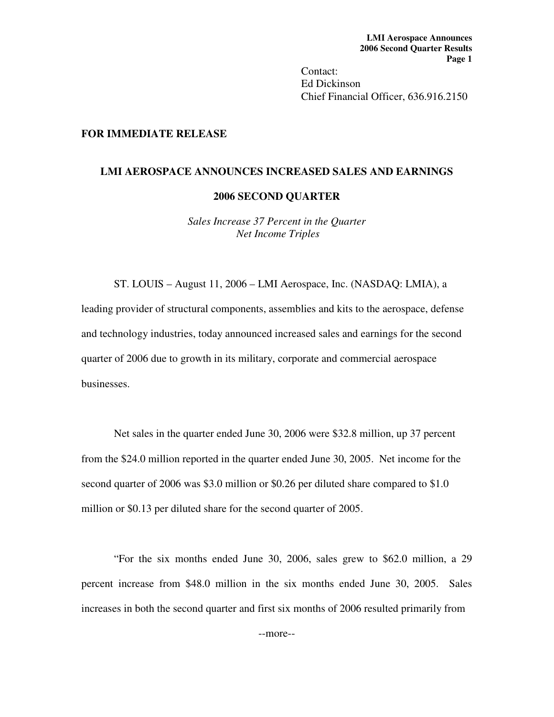Contact: Ed Dickinson Chief Financial Officer, 636.916.2150

## **FOR IMMEDIATE RELEASE**

#### **LMI AEROSPACE ANNOUNCES INCREASED SALES AND EARNINGS**

#### **2006 SECOND QUARTER**

*Sales Increase 37 Percent in the Quarter Net Income Triples* 

ST. LOUIS – August 11, 2006 – LMI Aerospace, Inc. (NASDAQ: LMIA), a leading provider of structural components, assemblies and kits to the aerospace, defense and technology industries, today announced increased sales and earnings for the second quarter of 2006 due to growth in its military, corporate and commercial aerospace businesses.

Net sales in the quarter ended June 30, 2006 were \$32.8 million, up 37 percent from the \$24.0 million reported in the quarter ended June 30, 2005. Net income for the second quarter of 2006 was \$3.0 million or \$0.26 per diluted share compared to \$1.0 million or \$0.13 per diluted share for the second quarter of 2005.

 "For the six months ended June 30, 2006, sales grew to \$62.0 million, a 29 percent increase from \$48.0 million in the six months ended June 30, 2005. Sales increases in both the second quarter and first six months of 2006 resulted primarily from

--more--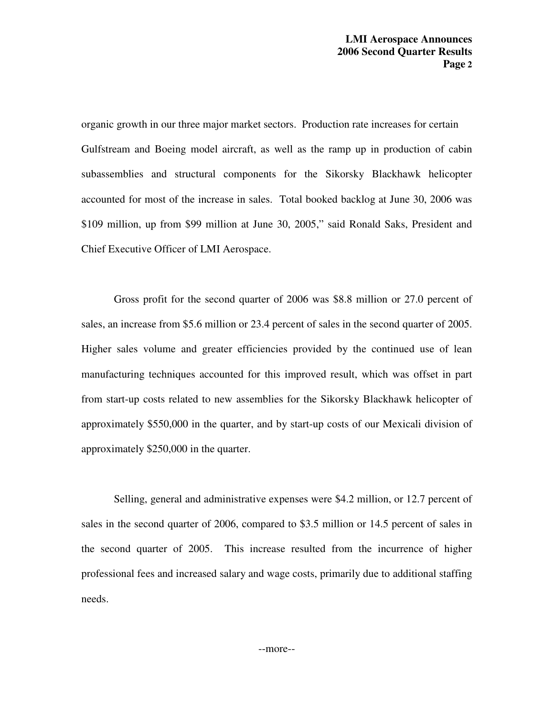organic growth in our three major market sectors. Production rate increases for certain Gulfstream and Boeing model aircraft, as well as the ramp up in production of cabin subassemblies and structural components for the Sikorsky Blackhawk helicopter accounted for most of the increase in sales. Total booked backlog at June 30, 2006 was \$109 million, up from \$99 million at June 30, 2005," said Ronald Saks, President and Chief Executive Officer of LMI Aerospace.

 Gross profit for the second quarter of 2006 was \$8.8 million or 27.0 percent of sales, an increase from \$5.6 million or 23.4 percent of sales in the second quarter of 2005. Higher sales volume and greater efficiencies provided by the continued use of lean manufacturing techniques accounted for this improved result, which was offset in part from start-up costs related to new assemblies for the Sikorsky Blackhawk helicopter of approximately \$550,000 in the quarter, and by start-up costs of our Mexicali division of approximately \$250,000 in the quarter.

 Selling, general and administrative expenses were \$4.2 million, or 12.7 percent of sales in the second quarter of 2006, compared to \$3.5 million or 14.5 percent of sales in the second quarter of 2005. This increase resulted from the incurrence of higher professional fees and increased salary and wage costs, primarily due to additional staffing needs.

--more--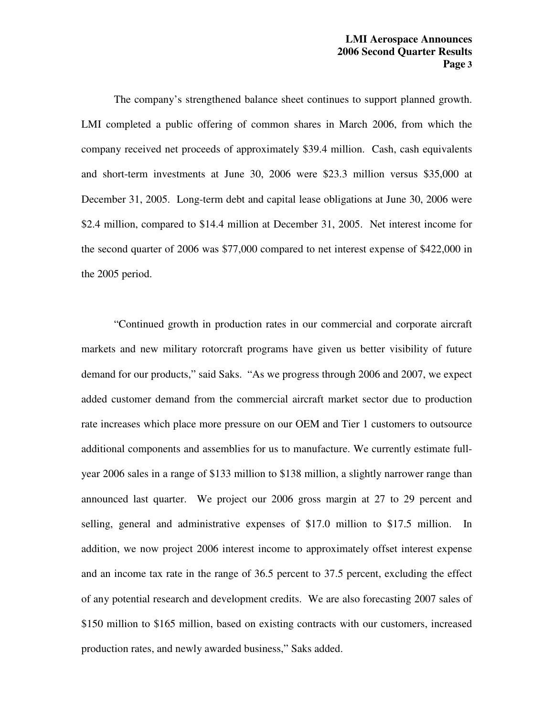The company's strengthened balance sheet continues to support planned growth. LMI completed a public offering of common shares in March 2006, from which the company received net proceeds of approximately \$39.4 million. Cash, cash equivalents and short-term investments at June 30, 2006 were \$23.3 million versus \$35,000 at December 31, 2005. Long-term debt and capital lease obligations at June 30, 2006 were \$2.4 million, compared to \$14.4 million at December 31, 2005. Net interest income for the second quarter of 2006 was \$77,000 compared to net interest expense of \$422,000 in the 2005 period.

 "Continued growth in production rates in our commercial and corporate aircraft markets and new military rotorcraft programs have given us better visibility of future demand for our products," said Saks. "As we progress through 2006 and 2007, we expect added customer demand from the commercial aircraft market sector due to production rate increases which place more pressure on our OEM and Tier 1 customers to outsource additional components and assemblies for us to manufacture. We currently estimate fullyear 2006 sales in a range of \$133 million to \$138 million, a slightly narrower range than announced last quarter. We project our 2006 gross margin at 27 to 29 percent and selling, general and administrative expenses of \$17.0 million to \$17.5 million. In addition, we now project 2006 interest income to approximately offset interest expense and an income tax rate in the range of 36.5 percent to 37.5 percent, excluding the effect of any potential research and development credits. We are also forecasting 2007 sales of \$150 million to \$165 million, based on existing contracts with our customers, increased production rates, and newly awarded business," Saks added.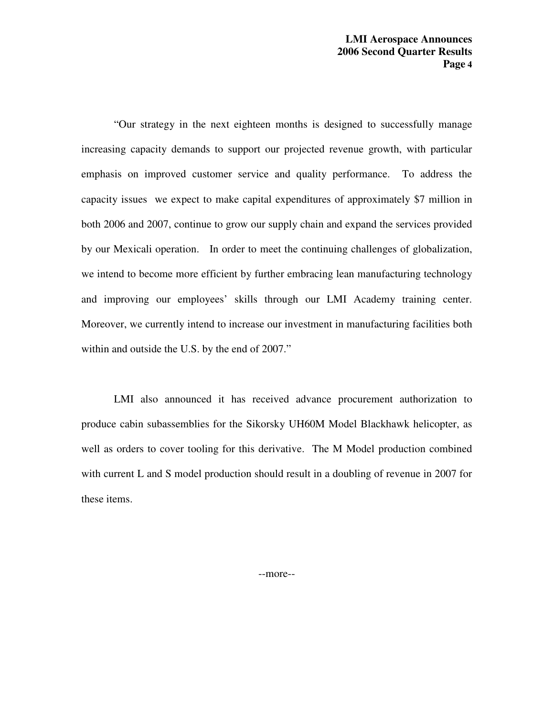"Our strategy in the next eighteen months is designed to successfully manage increasing capacity demands to support our projected revenue growth, with particular emphasis on improved customer service and quality performance. To address the capacity issues we expect to make capital expenditures of approximately \$7 million in both 2006 and 2007, continue to grow our supply chain and expand the services provided by our Mexicali operation. In order to meet the continuing challenges of globalization, we intend to become more efficient by further embracing lean manufacturing technology and improving our employees' skills through our LMI Academy training center. Moreover, we currently intend to increase our investment in manufacturing facilities both within and outside the U.S. by the end of 2007."

 LMI also announced it has received advance procurement authorization to produce cabin subassemblies for the Sikorsky UH60M Model Blackhawk helicopter, as well as orders to cover tooling for this derivative. The M Model production combined with current L and S model production should result in a doubling of revenue in 2007 for these items.

--more--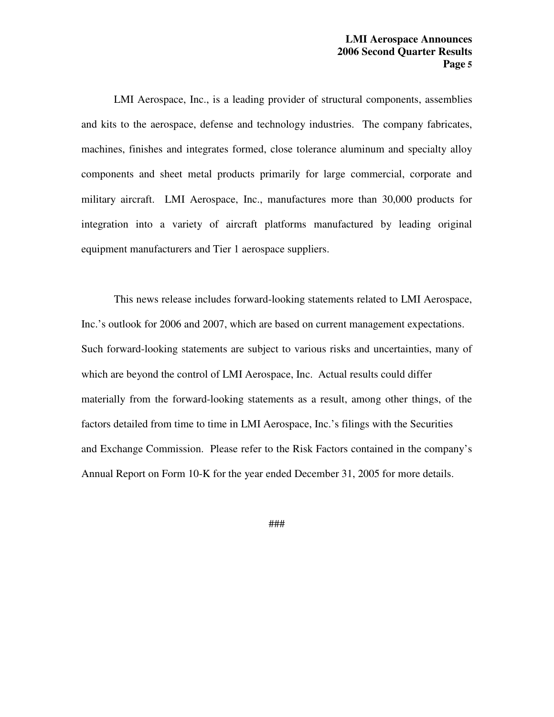LMI Aerospace, Inc., is a leading provider of structural components, assemblies and kits to the aerospace, defense and technology industries. The company fabricates, machines, finishes and integrates formed, close tolerance aluminum and specialty alloy components and sheet metal products primarily for large commercial, corporate and military aircraft. LMI Aerospace, Inc., manufactures more than 30,000 products for integration into a variety of aircraft platforms manufactured by leading original equipment manufacturers and Tier 1 aerospace suppliers.

 This news release includes forward-looking statements related to LMI Aerospace, Inc.'s outlook for 2006 and 2007, which are based on current management expectations. Such forward-looking statements are subject to various risks and uncertainties, many of which are beyond the control of LMI Aerospace, Inc. Actual results could differ materially from the forward-looking statements as a result, among other things, of the factors detailed from time to time in LMI Aerospace, Inc.'s filings with the Securities and Exchange Commission. Please refer to the Risk Factors contained in the company's Annual Report on Form 10-K for the year ended December 31, 2005 for more details.

###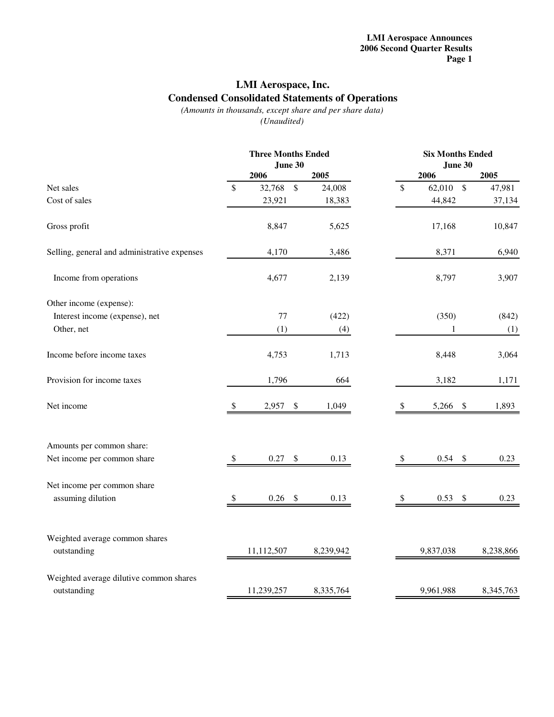## **LMI Aerospace, Inc. Condensed Consolidated Statements of Operations**

*(Amounts in thousands, except share and per share data) (Unaudited)*

|                                              |    |            | <b>Three Months Ended</b><br>June 30 |           |  |                           | <b>Six Months Ended</b><br>June 30 |                           |           |
|----------------------------------------------|----|------------|--------------------------------------|-----------|--|---------------------------|------------------------------------|---------------------------|-----------|
|                                              |    | 2006       |                                      | 2005      |  |                           | 2006                               |                           | 2005      |
| Net sales                                    | \$ | 32,768     | $\mathbb{S}$                         | 24,008    |  | $\mathbb{S}$              | 62,010 \$                          |                           | 47,981    |
| Cost of sales                                |    | 23,921     |                                      | 18,383    |  |                           | 44,842                             |                           | 37,134    |
| Gross profit                                 |    | 8,847      |                                      | 5,625     |  |                           | 17,168                             |                           | 10,847    |
| Selling, general and administrative expenses |    | 4,170      |                                      | 3,486     |  |                           | 8,371                              |                           | 6,940     |
| Income from operations                       |    | 4,677      |                                      | 2,139     |  |                           | 8,797                              |                           | 3,907     |
| Other income (expense):                      |    |            |                                      |           |  |                           |                                    |                           |           |
| Interest income (expense), net               |    | 77         |                                      | (422)     |  |                           | (350)                              |                           | (842)     |
| Other, net                                   |    | (1)        |                                      | (4)       |  |                           | $\mathbf{1}$                       |                           | (1)       |
| Income before income taxes                   |    | 4,753      |                                      | 1,713     |  |                           | 8,448                              |                           | 3,064     |
| Provision for income taxes                   |    | 1,796      |                                      | 664       |  |                           | 3,182                              |                           | 1,171     |
| Net income                                   | \$ | 2,957      | $\$\,$                               | 1,049     |  | $\boldsymbol{\mathsf{S}}$ | 5,266                              | $\boldsymbol{\mathsf{S}}$ | 1,893     |
| Amounts per common share:                    |    |            |                                      |           |  |                           |                                    |                           |           |
| Net income per common share                  | \$ | 0.27       | \$                                   | 0.13      |  | $\mathcal{S}$             | 0.54                               | $\mathcal{S}$             | 0.23      |
| Net income per common share                  |    |            |                                      |           |  |                           |                                    |                           |           |
| assuming dilution                            | \$ | 0.26       | $\boldsymbol{\$}$                    | 0.13      |  | \$                        | 0.53                               | $\sqrt[6]{3}$             | 0.23      |
| Weighted average common shares               |    |            |                                      |           |  |                           |                                    |                           |           |
| outstanding                                  |    | 11,112,507 |                                      | 8,239,942 |  |                           | 9,837,038                          |                           | 8,238,866 |
| Weighted average dilutive common shares      |    |            |                                      |           |  |                           |                                    |                           |           |
| outstanding                                  |    | 11,239,257 |                                      | 8,335,764 |  |                           | 9,961,988                          |                           | 8,345,763 |